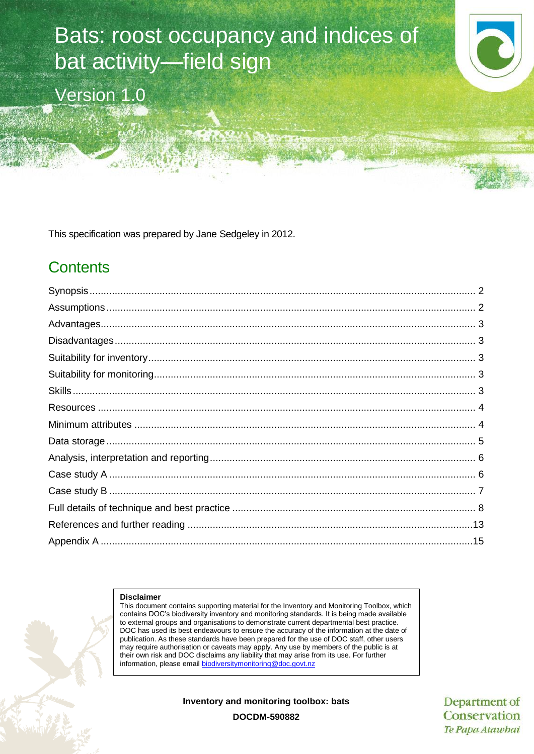

Version 1.0

This specification was prepared by Jane Sedgeley in 2012.

# **Contents**

#### **Disclaimer**

This document contains supporting material for the Inventory and Monitoring Toolbox, which contains DOC's biodiversity inventory and monitoring standards. It is being made available to external groups and organisations to demonstrate current departmental best practice. DOC has used its best endeavours to ensure the accuracy of the information at the date of publication. As these standards have been prepared for the use of DOC staff, other users may require authorisation or caveats may apply. Any use by members of the public is at their own risk and DOC disclaims any liability that may arise from its use. For further information, please email [biodiversitymonitoring@doc.govt.nz](mailto:biodiversitymonitoring@doc.govt.nz)

**Inventory and monitoring toolbox: bats**

Department of Conservation Te Papa Atawhai

**DOCDM-590882**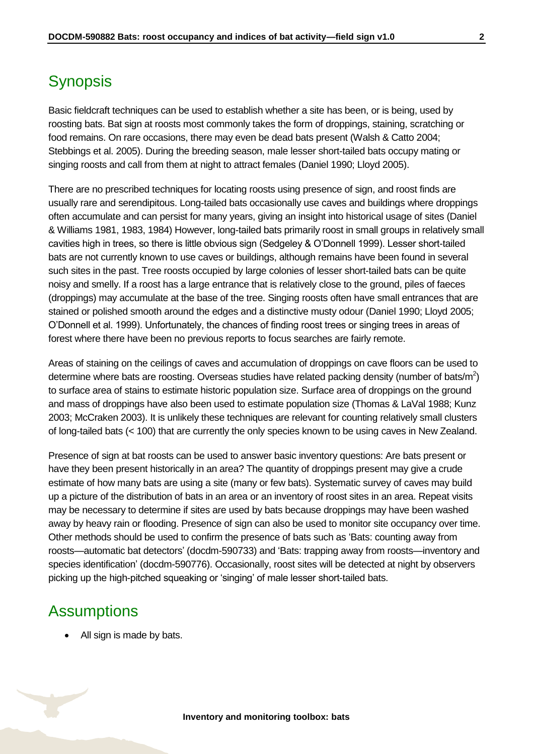# <span id="page-1-0"></span>**Synopsis**

Basic fieldcraft techniques can be used to establish whether a site has been, or is being, used by roosting bats. Bat sign at roosts most commonly takes the form of droppings, staining, scratching or food remains. On rare occasions, there may even be dead bats present (Walsh & Catto 2004; Stebbings et al. 2005). During the breeding season, male lesser short-tailed bats occupy mating or singing roosts and call from them at night to attract females (Daniel 1990; Lloyd 2005).

There are no prescribed techniques for locating roosts using presence of sign, and roost finds are usually rare and serendipitous. Long-tailed bats occasionally use caves and buildings where droppings often accumulate and can persist for many years, giving an insight into historical usage of sites (Daniel & Williams 1981, 1983, 1984) However, long-tailed bats primarily roost in small groups in relatively small cavities high in trees, so there is little obvious sign (Sedgeley & O'Donnell 1999). Lesser short-tailed bats are not currently known to use caves or buildings, although remains have been found in several such sites in the past. Tree roosts occupied by large colonies of lesser short-tailed bats can be quite noisy and smelly. If a roost has a large entrance that is relatively close to the ground, piles of faeces (droppings) may accumulate at the base of the tree. Singing roosts often have small entrances that are stained or polished smooth around the edges and a distinctive musty odour (Daniel 1990; Lloyd 2005; O'Donnell et al. 1999). Unfortunately, the chances of finding roost trees or singing trees in areas of forest where there have been no previous reports to focus searches are fairly remote.

Areas of staining on the ceilings of caves and accumulation of droppings on cave floors can be used to determine where bats are roosting. Overseas studies have related packing density (number of bats/m<sup>2</sup>) to surface area of stains to estimate historic population size. Surface area of droppings on the ground and mass of droppings have also been used to estimate population size (Thomas & LaVal 1988; Kunz 2003; McCraken 2003). It is unlikely these techniques are relevant for counting relatively small clusters of long-tailed bats (< 100) that are currently the only species known to be using caves in New Zealand.

Presence of sign at bat roosts can be used to answer basic inventory questions: Are bats present or have they been present historically in an area? The quantity of droppings present may give a crude estimate of how many bats are using a site (many or few bats). Systematic survey of caves may build up a picture of the distribution of bats in an area or an inventory of roost sites in an area. Repeat visits may be necessary to determine if sites are used by bats because droppings may have been washed away by heavy rain or flooding. Presence of sign can also be used to monitor site occupancy over time. Other methods should be used to confirm the presence of bats such as 'Bats: counting away from roosts—automatic bat detectors' (docdm-590733) and 'Bats: trapping away from roosts—inventory and species identification' (docdm-590776). Occasionally, roost sites will be detected at night by observers picking up the high-pitched squeaking or 'singing' of male lesser short-tailed bats.

### <span id="page-1-1"></span>**Assumptions**

• All sign is made by bats.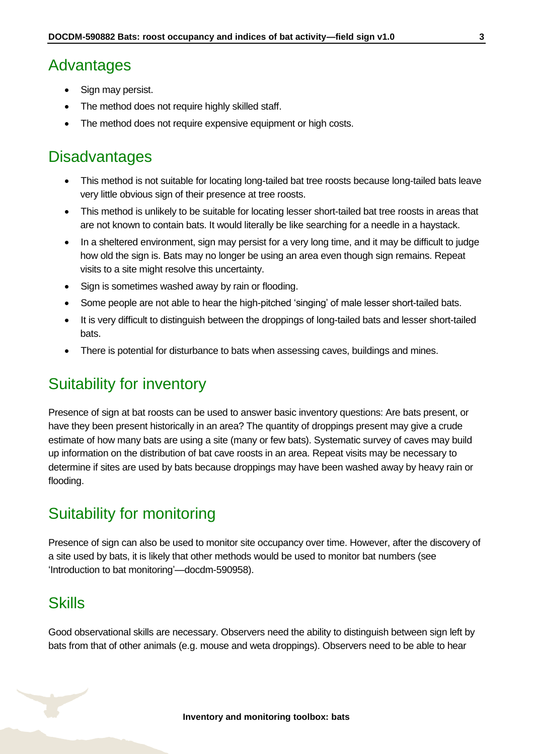### <span id="page-2-0"></span>Advantages

- Sign may persist.
- The method does not require highly skilled staff.
- The method does not require expensive equipment or high costs.

# <span id="page-2-1"></span>**Disadvantages**

- This method is not suitable for locating long-tailed bat tree roosts because long-tailed bats leave very little obvious sign of their presence at tree roosts.
- This method is unlikely to be suitable for locating lesser short-tailed bat tree roosts in areas that are not known to contain bats. It would literally be like searching for a needle in a haystack.
- In a sheltered environment, sign may persist for a very long time, and it may be difficult to judge how old the sign is. Bats may no longer be using an area even though sign remains. Repeat visits to a site might resolve this uncertainty.
- Sign is sometimes washed away by rain or flooding.
- Some people are not able to hear the high-pitched 'singing' of male lesser short-tailed bats.
- It is very difficult to distinguish between the droppings of long-tailed bats and lesser short-tailed bats.
- There is potential for disturbance to bats when assessing caves, buildings and mines.

### <span id="page-2-2"></span>Suitability for inventory

Presence of sign at bat roosts can be used to answer basic inventory questions: Are bats present, or have they been present historically in an area? The quantity of droppings present may give a crude estimate of how many bats are using a site (many or few bats). Systematic survey of caves may build up information on the distribution of bat cave roosts in an area. Repeat visits may be necessary to determine if sites are used by bats because droppings may have been washed away by heavy rain or flooding.

### <span id="page-2-3"></span>Suitability for monitoring

Presence of sign can also be used to monitor site occupancy over time. However, after the discovery of a site used by bats, it is likely that other methods would be used to monitor bat numbers (see 'Introduction to bat monitoring'—docdm-590958).

### <span id="page-2-4"></span>**Skills**

Good observational skills are necessary. Observers need the ability to distinguish between sign left by bats from that of other animals (e.g. mouse and weta droppings). Observers need to be able to hear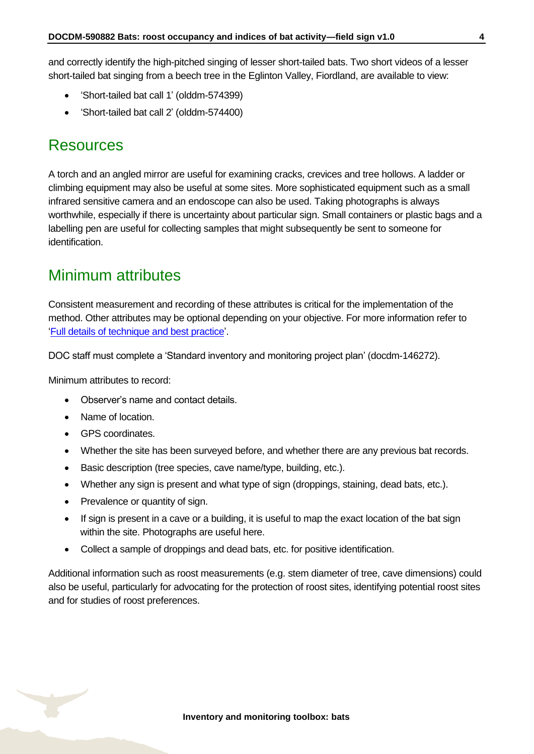and correctly identify the high-pitched singing of lesser short-tailed bats. Two short videos of a lesser short-tailed bat singing from a beech tree in the Eglinton Valley, Fiordland, are available to view:

- 'Short-tailed bat call 1' (olddm-574399)
- 'Short-tailed bat call 2' (olddm-574400)

### <span id="page-3-0"></span>**Resources**

A torch and an angled mirror are useful for examining cracks, crevices and tree hollows. A ladder or climbing equipment may also be useful at some sites. More sophisticated equipment such as a small infrared sensitive camera and an endoscope can also be used. Taking photographs is always worthwhile, especially if there is uncertainty about particular sign. Small containers or plastic bags and a labelling pen are useful for collecting samples that might subsequently be sent to someone for identification.

## <span id="page-3-1"></span>Minimum attributes

Consistent measurement and recording of these attributes is critical for the implementation of the method. Other attributes may be optional depending on your objective. For more information refer to ['Full details of technique and best practice'](#page-7-0).

DOC staff must complete a 'Standard inventory and monitoring project plan' (docdm-146272).

Minimum attributes to record:

- Observer's name and contact details.
- Name of location.
- GPS coordinates.
- Whether the site has been surveyed before, and whether there are any previous bat records.
- Basic description (tree species, cave name/type, building, etc.).
- Whether any sign is present and what type of sign (droppings, staining, dead bats, etc.).
- Prevalence or quantity of sign.
- If sign is present in a cave or a building, it is useful to map the exact location of the bat sign within the site. Photographs are useful here.
- Collect a sample of droppings and dead bats, etc. for positive identification.

Additional information such as roost measurements (e.g. stem diameter of tree, cave dimensions) could also be useful, particularly for advocating for the protection of roost sites, identifying potential roost sites and for studies of roost preferences.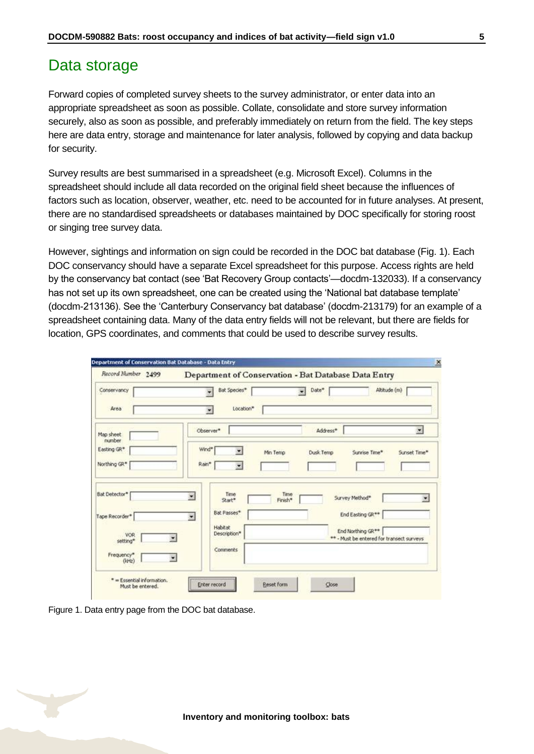### <span id="page-4-0"></span>Data storage

Forward copies of completed survey sheets to the survey administrator, or enter data into an appropriate spreadsheet as soon as possible. Collate, consolidate and store survey information securely, also as soon as possible, and preferably immediately on return from the field. The key steps here are data entry, storage and maintenance for later analysis, followed by copying and data backup for security.

Survey results are best summarised in a spreadsheet (e.g. Microsoft Excel). Columns in the spreadsheet should include all data recorded on the original field sheet because the influences of factors such as location, observer, weather, etc. need to be accounted for in future analyses. At present, there are no standardised spreadsheets or databases maintained by DOC specifically for storing roost or singing tree survey data.

However, sightings and information on sign could be recorded in the DOC bat database (Fig. 1). Each DOC conservancy should have a separate Excel spreadsheet for this purpose. Access rights are held by the conservancy bat contact (see 'Bat Recovery Group contacts'—docdm-132033). If a conservancy has not set up its own spreadsheet, one can be created using the 'National bat database template' (docdm-213136). See the 'Canterbury Conservancy bat database' (docdm-213179) for an example of a spreadsheet containing data. Many of the data entry fields will not be relevant, but there are fields for location, GPS coordinates, and comments that could be used to describe survey results.

| Record Number 2499                | Department of Conservation - Bat Database Data Entry                                                                                               |
|-----------------------------------|----------------------------------------------------------------------------------------------------------------------------------------------------|
| Conservancy<br>Area               | Altitude (m)<br>Date*<br>Bat Species*<br>٠<br>Location*<br>$\overline{\phantom{a}}$                                                                |
| Map sheet<br>number               | $\overline{\mathcal{L}}$<br>Observer*<br>Address*                                                                                                  |
| Easting GR*<br>Northing GR*       | Wind*<br>Min Temp<br>Dusk Temp<br>Sunrise Time*<br>Sunset Time*<br>Rain*                                                                           |
| <b>Bat Detector*</b>              | Time<br>Time<br>뉙<br>Survey Method*<br>Finish*<br>Start*<br>Bat Passes*                                                                            |
| Tape Recorder*<br>VOR<br>setting* | End Easting GR**<br>$\bullet$<br>Habitat<br>End Northing GR <sup>**</sup><br>Description*<br>** - Must be entered for transect surveys<br>Comments |
| Frequency*<br>$(k + 2)$           |                                                                                                                                                    |

Figure 1. Data entry page from the DOC bat database.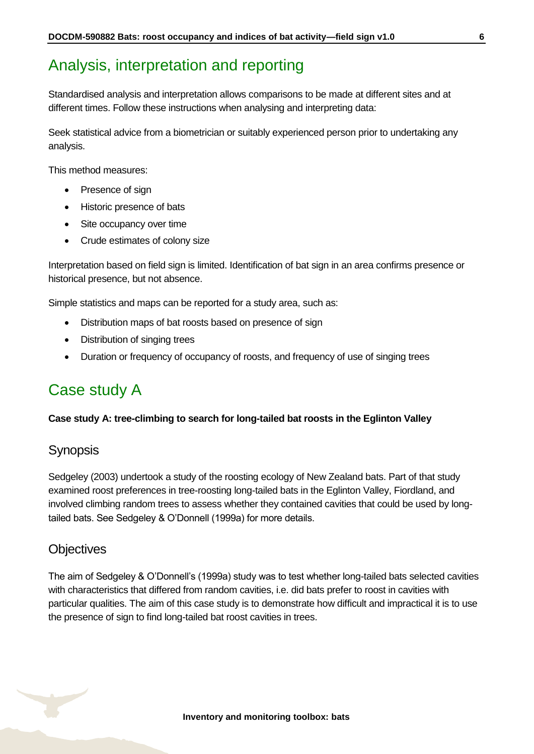# <span id="page-5-0"></span>Analysis, interpretation and reporting

Standardised analysis and interpretation allows comparisons to be made at different sites and at different times. Follow these instructions when analysing and interpreting data:

Seek statistical advice from a biometrician or suitably experienced person prior to undertaking any analysis.

This method measures:

- Presence of sign
- Historic presence of bats
- Site occupancy over time
- Crude estimates of colony size

Interpretation based on field sign is limited. Identification of bat sign in an area confirms presence or historical presence, but not absence.

Simple statistics and maps can be reported for a study area, such as:

- Distribution maps of bat roosts based on presence of sign
- Distribution of singing trees
- Duration or frequency of occupancy of roosts, and frequency of use of singing trees

# <span id="page-5-1"></span>Case study A

#### **Case study A: tree-climbing to search for long-tailed bat roosts in the Eglinton Valley**

### **Synopsis**

Sedgeley (2003) undertook a study of the roosting ecology of New Zealand bats. Part of that study examined roost preferences in tree-roosting long-tailed bats in the Eglinton Valley, Fiordland, and involved climbing random trees to assess whether they contained cavities that could be used by longtailed bats. See Sedgeley & O'Donnell (1999a) for more details.

#### **Objectives**

The aim of Sedgeley & O'Donnell's (1999a) study was to test whether long-tailed bats selected cavities with characteristics that differed from random cavities, i.e. did bats prefer to roost in cavities with particular qualities. The aim of this case study is to demonstrate how difficult and impractical it is to use the presence of sign to find long-tailed bat roost cavities in trees.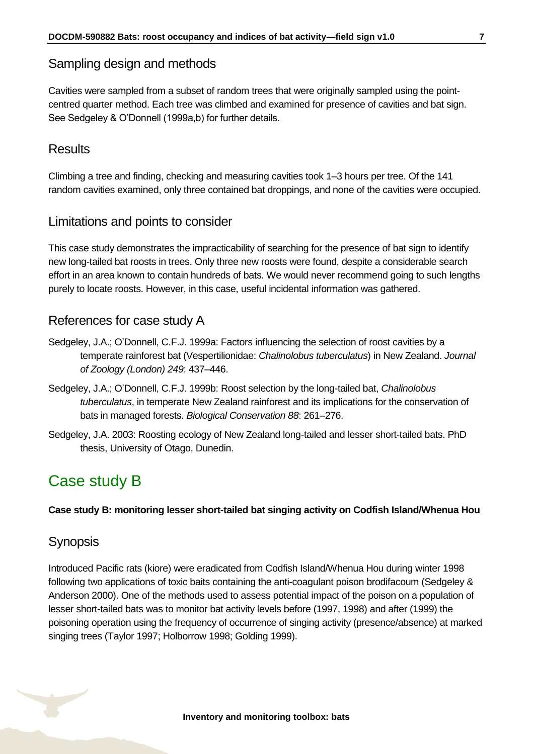### Sampling design and methods

Cavities were sampled from a subset of random trees that were originally sampled using the pointcentred quarter method. Each tree was climbed and examined for presence of cavities and bat sign. See Sedgeley & O'Donnell (1999a,b) for further details.

### **Results**

Climbing a tree and finding, checking and measuring cavities took 1–3 hours per tree. Of the 141 random cavities examined, only three contained bat droppings, and none of the cavities were occupied.

#### Limitations and points to consider

This case study demonstrates the impracticability of searching for the presence of bat sign to identify new long-tailed bat roosts in trees. Only three new roosts were found, despite a considerable search effort in an area known to contain hundreds of bats. We would never recommend going to such lengths purely to locate roosts. However, in this case, useful incidental information was gathered.

#### References for case study A

- Sedgeley, J.A.; O'Donnell, C.F.J. 1999a: Factors influencing the selection of roost cavities by a temperate rainforest bat (Vespertilionidae: *Chalinolobus tuberculatus*) in New Zealand. *Journal of Zoology (London) 249*: 437–446.
- Sedgeley, J.A.; O'Donnell, C.F.J. 1999b: Roost selection by the long-tailed bat, *Chalinolobus tuberculatus*, in temperate New Zealand rainforest and its implications for the conservation of bats in managed forests. *Biological Conservation 88*: 261–276.
- Sedgeley, J.A. 2003: Roosting ecology of New Zealand long-tailed and lesser short-tailed bats. PhD thesis, University of Otago, Dunedin.

# <span id="page-6-0"></span>Case study B

**Case study B: monitoring lesser short-tailed bat singing activity on Codfish Island/Whenua Hou**

#### **Synopsis**

Introduced Pacific rats (kiore) were eradicated from Codfish Island/Whenua Hou during winter 1998 following two applications of toxic baits containing the anti-coagulant poison brodifacoum (Sedgeley & Anderson 2000). One of the methods used to assess potential impact of the poison on a population of lesser short-tailed bats was to monitor bat activity levels before (1997, 1998) and after (1999) the poisoning operation using the frequency of occurrence of singing activity (presence/absence) at marked singing trees (Taylor 1997; Holborrow 1998; Golding 1999).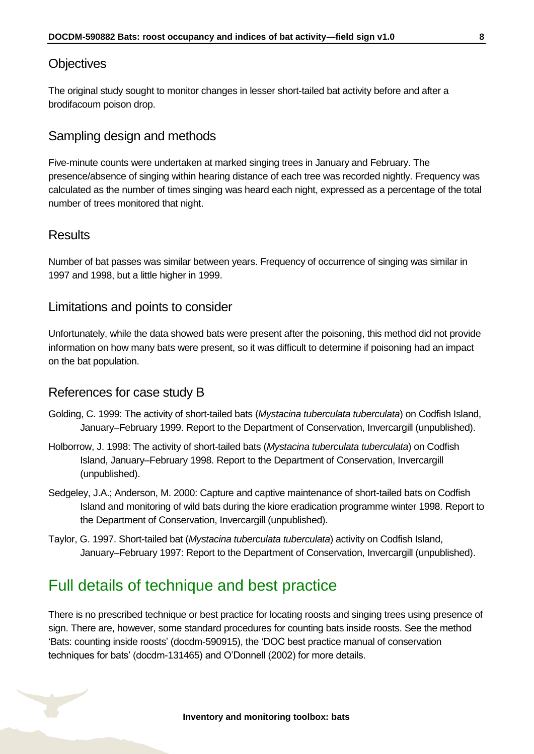#### **Objectives**

The original study sought to monitor changes in lesser short-tailed bat activity before and after a brodifacoum poison drop.

### Sampling design and methods

Five-minute counts were undertaken at marked singing trees in January and February. The presence/absence of singing within hearing distance of each tree was recorded nightly. Frequency was calculated as the number of times singing was heard each night, expressed as a percentage of the total number of trees monitored that night.

#### **Results**

Number of bat passes was similar between years. Frequency of occurrence of singing was similar in 1997 and 1998, but a little higher in 1999.

#### Limitations and points to consider

Unfortunately, while the data showed bats were present after the poisoning, this method did not provide information on how many bats were present, so it was difficult to determine if poisoning had an impact on the bat population.

#### References for case study B

- Golding, C. 1999: The activity of short-tailed bats (*Mystacina tuberculata tuberculata*) on Codfish Island, January–February 1999. Report to the Department of Conservation, Invercargill (unpublished).
- Holborrow, J. 1998: The activity of short-tailed bats (*Mystacina tuberculata tuberculata*) on Codfish Island, January–February 1998. Report to the Department of Conservation, Invercargill (unpublished).
- Sedgeley, J.A.; Anderson, M. 2000: Capture and captive maintenance of short-tailed bats on Codfish Island and monitoring of wild bats during the kiore eradication programme winter 1998. Report to the Department of Conservation, Invercargill (unpublished).
- Taylor, G. 1997. Short-tailed bat (*Mystacina tuberculata tuberculata*) activity on Codfish Island, January–February 1997: Report to the Department of Conservation, Invercargill (unpublished).

# <span id="page-7-0"></span>Full details of technique and best practice

There is no prescribed technique or best practice for locating roosts and singing trees using presence of sign. There are, however, some standard procedures for counting bats inside roosts. See the method 'Bats: counting inside roosts' (docdm-590915), the 'DOC best practice manual of conservation techniques for bats' (docdm-131465) and O'Donnell (2002) for more details.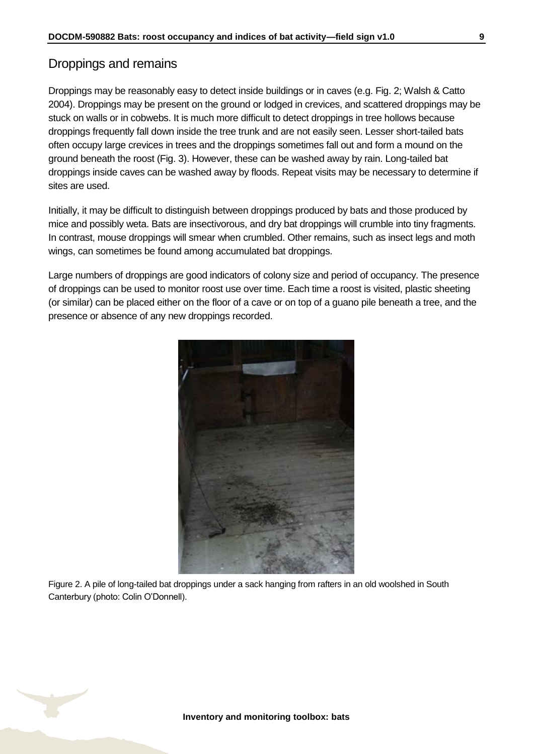### Droppings and remains

Droppings may be reasonably easy to detect inside buildings or in caves (e.g. Fig. 2; Walsh & Catto 2004). Droppings may be present on the ground or lodged in crevices, and scattered droppings may be stuck on walls or in cobwebs. It is much more difficult to detect droppings in tree hollows because droppings frequently fall down inside the tree trunk and are not easily seen. Lesser short-tailed bats often occupy large crevices in trees and the droppings sometimes fall out and form a mound on the ground beneath the roost (Fig. 3). However, these can be washed away by rain. Long-tailed bat droppings inside caves can be washed away by floods. Repeat visits may be necessary to determine if sites are used.

Initially, it may be difficult to distinguish between droppings produced by bats and those produced by mice and possibly weta. Bats are insectivorous, and dry bat droppings will crumble into tiny fragments. In contrast, mouse droppings will smear when crumbled. Other remains, such as insect legs and moth wings, can sometimes be found among accumulated bat droppings.

Large numbers of droppings are good indicators of colony size and period of occupancy. The presence of droppings can be used to monitor roost use over time. Each time a roost is visited, plastic sheeting (or similar) can be placed either on the floor of a cave or on top of a guano pile beneath a tree, and the presence or absence of any new droppings recorded.



Figure 2. A pile of long-tailed bat droppings under a sack hanging from rafters in an old woolshed in South Canterbury (photo: Colin O'Donnell).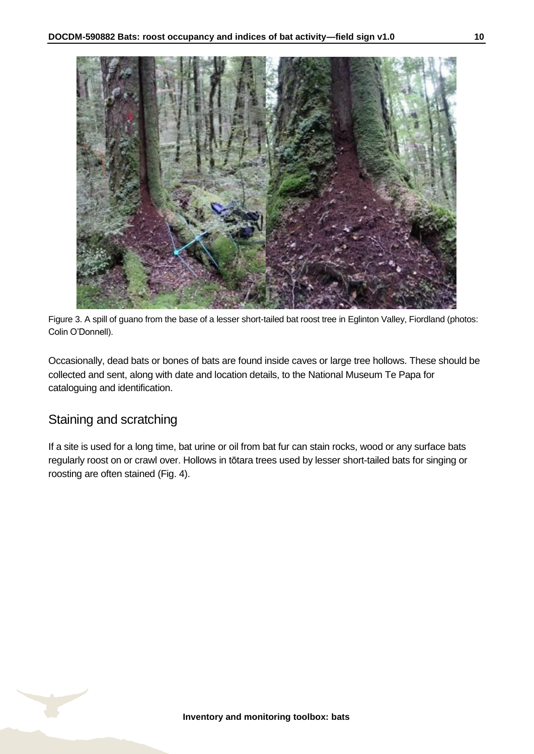

Figure 3. A spill of guano from the base of a lesser short-tailed bat roost tree in Eglinton Valley, Fiordland (photos: Colin O'Donnell).

Occasionally, dead bats or bones of bats are found inside caves or large tree hollows. These should be collected and sent, along with date and location details, to the National Museum Te Papa for cataloguing and identification.

### Staining and scratching

If a site is used for a long time, bat urine or oil from bat fur can stain rocks, wood or any surface bats regularly roost on or crawl over. Hollows in tōtara trees used by lesser short-tailed bats for singing or roosting are often stained (Fig. 4).

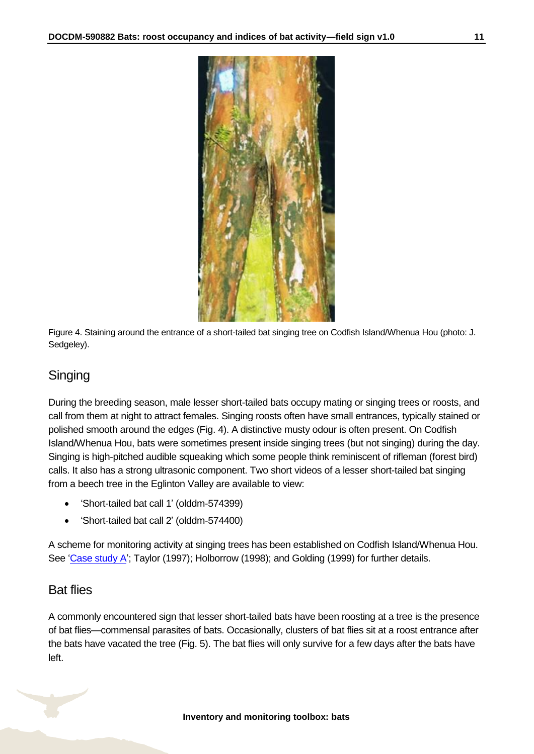

Figure 4. Staining around the entrance of a short-tailed bat singing tree on Codfish Island/Whenua Hou (photo: J. Sedgeley).

### Singing

During the breeding season, male lesser short-tailed bats occupy mating or singing trees or roosts, and call from them at night to attract females. Singing roosts often have small entrances, typically stained or polished smooth around the edges (Fig. 4). A distinctive musty odour is often present. On Codfish Island/Whenua Hou, bats were sometimes present inside singing trees (but not singing) during the day. Singing is high-pitched audible squeaking which some people think reminiscent of rifleman (forest bird) calls. It also has a strong ultrasonic component. Two short videos of a lesser short-tailed bat singing from a beech tree in the Eglinton Valley are available to view:

- 'Short-tailed bat call 1' (olddm-574399)
- 'Short-tailed bat call 2' (olddm-574400)

A scheme for monitoring activity at singing trees has been established on Codfish Island/Whenua Hou. See ['Case study A'](#page-5-1); Taylor (1997); Holborrow (1998); and Golding (1999) for further details.

#### Bat flies

A commonly encountered sign that lesser short-tailed bats have been roosting at a tree is the presence of bat flies—commensal parasites of bats. Occasionally, clusters of bat flies sit at a roost entrance after the bats have vacated the tree (Fig. 5). The bat flies will only survive for a few days after the bats have left.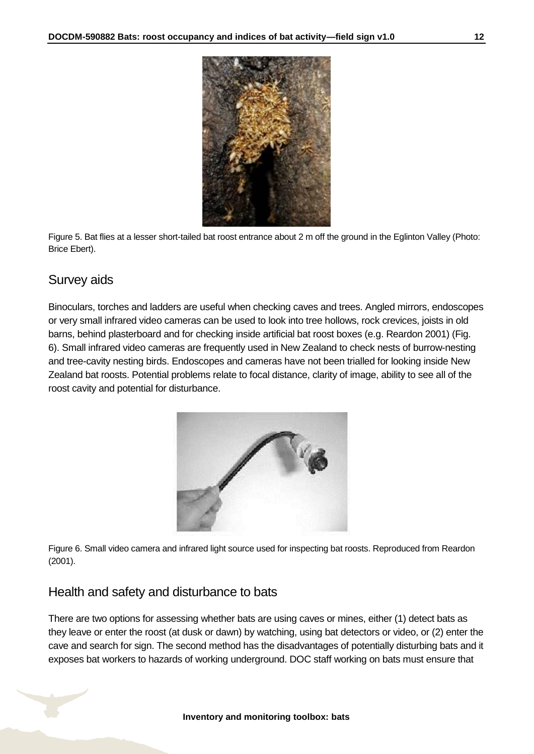

Figure 5. Bat flies at a lesser short-tailed bat roost entrance about 2 m off the ground in the Eglinton Valley (Photo: Brice Ebert).

### Survey aids

Binoculars, torches and ladders are useful when checking caves and trees. Angled mirrors, endoscopes or very small infrared video cameras can be used to look into tree hollows, rock crevices, joists in old barns, behind plasterboard and for checking inside artificial bat roost boxes (e.g. Reardon 2001) (Fig. 6). Small infrared video cameras are frequently used in New Zealand to check nests of burrow-nesting and tree-cavity nesting birds. Endoscopes and cameras have not been trialled for looking inside New Zealand bat roosts. Potential problems relate to focal distance, clarity of image, ability to see all of the roost cavity and potential for disturbance.



Figure 6. Small video camera and infrared light source used for inspecting bat roosts. Reproduced from Reardon (2001).

### Health and safety and disturbance to bats

There are two options for assessing whether bats are using caves or mines, either (1) detect bats as they leave or enter the roost (at dusk or dawn) by watching, using bat detectors or video, or (2) enter the cave and search for sign. The second method has the disadvantages of potentially disturbing bats and it exposes bat workers to hazards of working underground. DOC staff working on bats must ensure that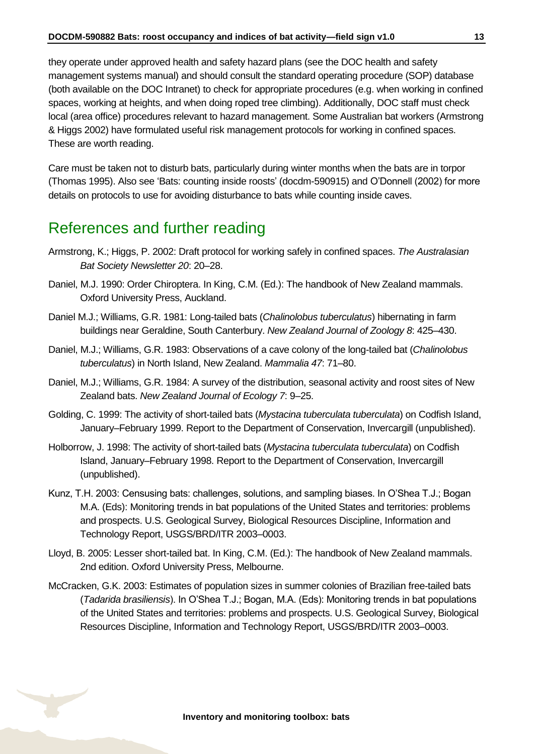they operate under approved health and safety hazard plans (see the DOC health and safety management systems manual) and should consult the standard operating procedure (SOP) database (both available on the DOC Intranet) to check for appropriate procedures (e.g. when working in confined spaces, working at heights, and when doing roped tree climbing). Additionally, DOC staff must check local (area office) procedures relevant to hazard management. Some Australian bat workers (Armstrong & Higgs 2002) have formulated useful risk management protocols for working in confined spaces. These are worth reading.

Care must be taken not to disturb bats, particularly during winter months when the bats are in torpor (Thomas 1995). Also see 'Bats: counting inside roosts' (docdm-590915) and O'Donnell (2002) for more details on protocols to use for avoiding disturbance to bats while counting inside caves.

# <span id="page-12-0"></span>References and further reading

- Armstrong, K.; Higgs, P. 2002: Draft protocol for working safely in confined spaces. *The Australasian Bat Society Newsletter 20*: 20–28.
- Daniel, M.J. 1990: Order Chiroptera. In King, C.M. (Ed.): The handbook of New Zealand mammals. Oxford University Press, Auckland.
- Daniel M.J.; Williams, G.R. 1981: Long-tailed bats (*Chalinolobus tuberculatus*) hibernating in farm buildings near Geraldine, South Canterbury. *New Zealand Journal of Zoology 8*: 425–430.
- Daniel, M.J.; Williams, G.R. 1983: Observations of a cave colony of the long-tailed bat (*Chalinolobus tuberculatus*) in North Island, New Zealand. *Mammalia 47*: 71–80.
- Daniel, M.J.; Williams, G.R. 1984: A survey of the distribution, seasonal activity and roost sites of New Zealand bats. *New Zealand Journal of Ecology 7*: 9–25.
- Golding, C. 1999: The activity of short-tailed bats (*Mystacina tuberculata tuberculata*) on Codfish Island, January–February 1999. Report to the Department of Conservation, Invercargill (unpublished).
- Holborrow, J. 1998: The activity of short-tailed bats (*Mystacina tuberculata tuberculata*) on Codfish Island, January–February 1998. Report to the Department of Conservation, Invercargill (unpublished).
- Kunz, T.H. 2003: Censusing bats: challenges, solutions, and sampling biases. In O'Shea T.J.; Bogan M.A. (Eds): Monitoring trends in bat populations of the United States and territories: problems and prospects. U.S. Geological Survey, Biological Resources Discipline, Information and Technology Report, USGS/BRD/ITR 2003–0003.
- Lloyd, B. 2005: Lesser short-tailed bat. In King, C.M. (Ed.): The handbook of New Zealand mammals. 2nd edition. Oxford University Press, Melbourne.
- McCracken, G.K. 2003: Estimates of population sizes in summer colonies of Brazilian free-tailed bats (*Tadarida brasiliensis*). In O'Shea T.J.; Bogan, M.A. (Eds): Monitoring trends in bat populations of the United States and territories: problems and prospects. U.S. Geological Survey, Biological Resources Discipline, Information and Technology Report, USGS/BRD/ITR 2003–0003.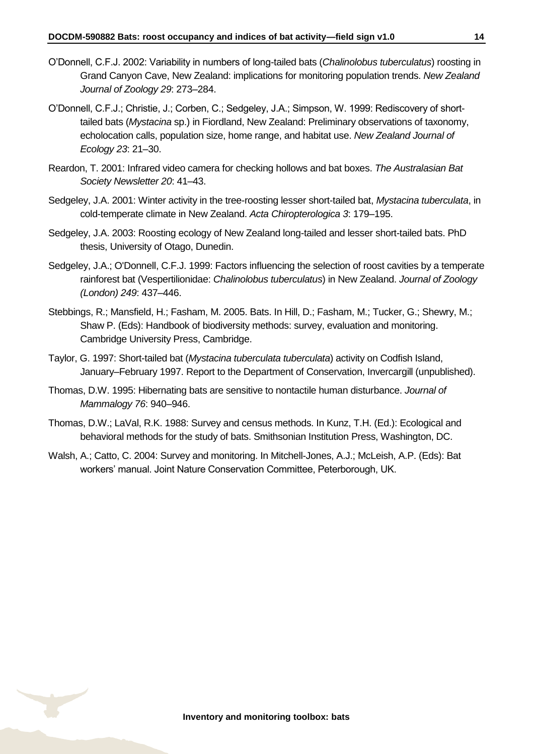- O'Donnell, C.F.J. 2002: Variability in numbers of long-tailed bats (*Chalinolobus tuberculatus*) roosting in Grand Canyon Cave, New Zealand: implications for monitoring population trends. *New Zealand Journal of Zoology 29*: 273–284.
- O'Donnell, C.F.J.; Christie, J.; Corben, C.; Sedgeley, J.A.; Simpson, W. 1999: Rediscovery of shorttailed bats (*Mystacina* sp.) in Fiordland, New Zealand: Preliminary observations of taxonomy, echolocation calls, population size, home range, and habitat use. *New Zealand Journal of Ecology 23*: 21–30.
- Reardon, T. 2001: Infrared video camera for checking hollows and bat boxes. *The Australasian Bat Society Newsletter 20*: 41–43.
- Sedgeley, J.A. 2001: Winter activity in the tree-roosting lesser short-tailed bat, *Mystacina tuberculata*, in cold-temperate climate in New Zealand. *Acta Chiropterologica 3*: 179–195.
- Sedgeley, J.A. 2003: Roosting ecology of New Zealand long-tailed and lesser short-tailed bats. PhD thesis, University of Otago, Dunedin.
- Sedgeley, J.A.; O'Donnell, C.F.J. 1999: Factors influencing the selection of roost cavities by a temperate rainforest bat (Vespertilionidae: *Chalinolobus tuberculatus*) in New Zealand. *Journal of Zoology (London) 249*: 437–446.
- Stebbings, R.; Mansfield, H.; Fasham, M. 2005. Bats. In Hill, D.; Fasham, M.; Tucker, G.; Shewry, M.; Shaw P. (Eds): Handbook of biodiversity methods: survey, evaluation and monitoring. Cambridge University Press, Cambridge.
- Taylor, G. 1997: Short-tailed bat (*Mystacina tuberculata tuberculata*) activity on Codfish Island, January–February 1997. Report to the Department of Conservation, Invercargill (unpublished).
- Thomas, D.W. 1995: Hibernating bats are sensitive to nontactile human disturbance. *Journal of Mammalogy 76*: 940–946.
- Thomas, D.W.; LaVal, R.K. 1988: Survey and census methods. In Kunz, T.H. (Ed.): Ecological and behavioral methods for the study of bats. Smithsonian Institution Press, Washington, DC.
- Walsh, A.; Catto, C. 2004: Survey and monitoring. In Mitchell-Jones, A.J.; McLeish, A.P. (Eds): Bat workers' manual. Joint Nature Conservation Committee, Peterborough, UK.